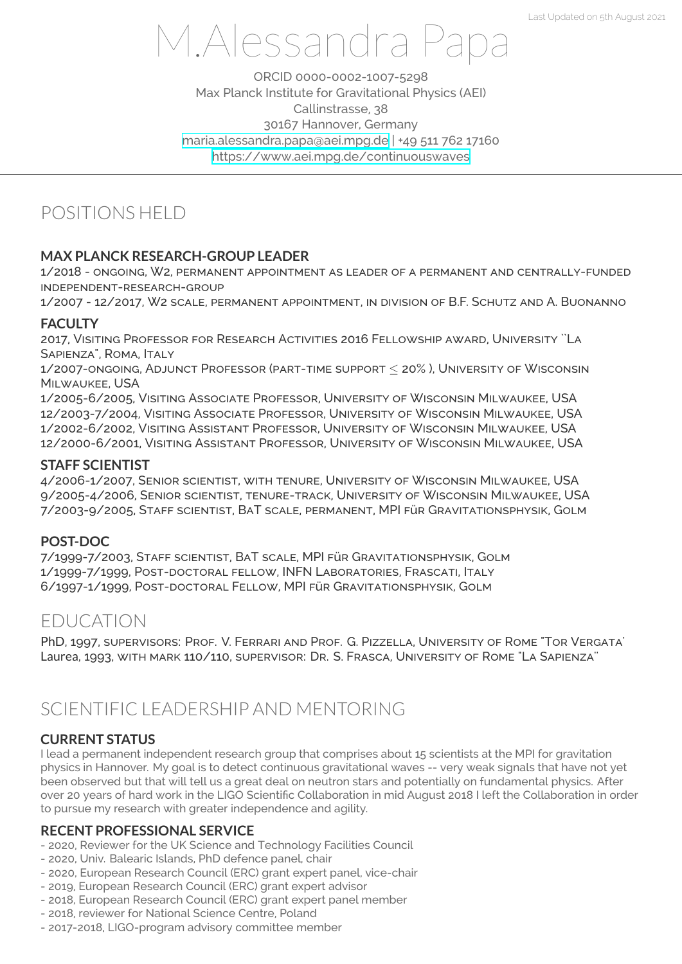# M.Alessandra Papa

ORCID 0000-0002-1007-5298 Max Planck Institute for Gravitational Physics (AEI) Callinstrasse, 38 30167 Hannover, Germany maria.alessandra.papa@aei.mpg.de | +49 511 762 17160 https://www.aei.mpg.de/continuouswaves

# POSITIONS HEL[D](mailto:maria.alessandra.papa@aei.mpg.de)

#### **MAX PLANCK RESEARCH-GROUP LEADER**

1/2018 - ongoing, W2, permanent appointment as leader of a permanent and centrally-funded independent-research-group

1/2007 - 12/2017, W2 scale, permanent appointment, in division of B.F. Schutz and A. Buonanno

#### **FACULTY**

2017, Visiting Professor for Research Activities 2016 Fellowship award, University ``La SAPIENZA", ROMA, ITALY

1/2007-ongoing, Adjunct Professor (part-time support *≤* 20% ), University of Wisconsin Milwaukee, USA

1/2005-6/2005, Visiting Associate Professor, University of Wisconsin Milwaukee, USA 12/2003-7/2004, Visiting Associate Professor, University of Wisconsin Milwaukee, USA 1/2002-6/2002, Visiting Assistant Professor, University of Wisconsin Milwaukee, USA 12/2000-6/2001, Visiting Assistant Professor, University of Wisconsin Milwaukee, USA

#### **STAFF SCIENTIST**

4/2006-1/2007, Senior scientist, with tenure, University of Wisconsin Milwaukee, USA 9/2005-4/2006, Senior scientist, tenure-track, University of Wisconsin Milwaukee, USA 7/2003-9/2005, Staff scientist, BaT scale, permanent, MPI für Gravitationsphysik, Golm

#### **POST-DOC**

7/1999-7/2003, Staff scientist, BaT scale, MPI für Gravitationsphysik, Golm 1/1999-7/1999, Post-doctoral fellow, INFN Laboratories, Frascati, Italy 6/1997-1/1999, Post-doctoral Fellow, MPI für Gravitationsphysik, Golm

# EDUCATION

PhD, 1997, supervisors: Prof. V. Ferrari and Prof. G. Pizzella, University of Rome "Tor Vergata' Laurea, 1993, with mark 110/110, supervisor: Dr. S. Frasca, University of Rome "La Sapienza''

# SCIENTIFIC LEADERSHIP AND MENTORING

# **CURRENT STATUS**

I lead a permanent independent research group that comprises about 15 scientists at the MPI for gravitation physics in Hannover. My goal is to detect continuous gravitational waves -- very weak signals that have not yet been observed but that will tell us a great deal on neutron stars and potentially on fundamental physics. After over 20 years of hard work in the LIGO Scientific Collaboration in mid August 2018 I left the Collaboration in order to pursue my research with greater independence and agility.

#### **RECENT PROFESSIONAL SERVICE**

- 2020, Reviewer for the UK Science and Technology Facilities Council

- 2020, Univ. Balearic Islands, PhD defence panel, chair
- 2020, European Research Council (ERC) grant expert panel, vice-chair
- 2019, European Research Council (ERC) grant expert advisor
- 2018, European Research Council (ERC) grant expert panel member
- 2018, reviewer for National Science Centre, Poland
- 2017-2018, LIGO-program advisory committee member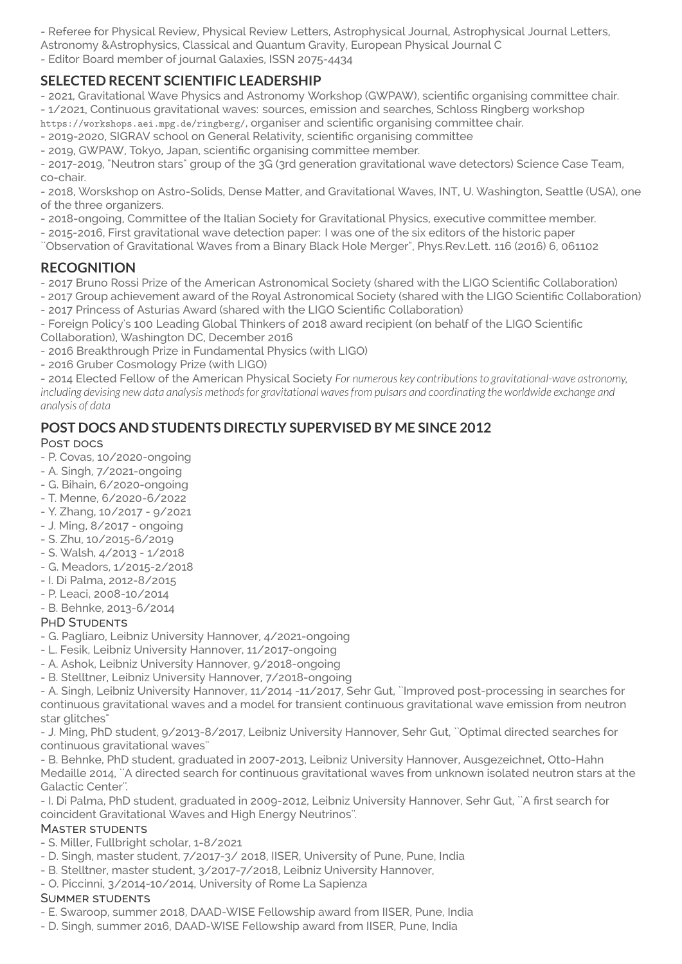- Referee for Physical Review, Physical Review Letters, Astrophysical Journal, Astrophysical Journal Letters,

Astronomy &Astrophysics, Classical and Quantum Gravity, European Physical Journal C

- Editor Board member of journal Galaxies, ISSN 2075-4434

## **SELECTED RECENT SCIENTIFIC LEADERSHIP**

- 2021, Gravitational Wave Physics and Astronomy Workshop (GWPAW), scientific organising committee chair.

- 1/2021, Continuous gravitational waves: sources, emission and searches, Schloss Ringberg workshop

https://workshops.aei.mpg.de/ringberg/, organiser and scientific organising committee chair.

- 2019-2020, SIGRAV school on General Relativity, scientific organising committee

- 2019, GWPAW, Tokyo, Japan, scientific organising committee member.

- 2017-2019, "Neutron stars" group of the 3G (3rd generation gravitational wave detectors) Science Case Team, co-chair.

- 2018, Worskshop on Astro-Solids, Dense Matter, and Gravitational Waves, INT, U. Washington, Seattle (USA), one of the three organizers.

- 2018-ongoing, Committee of the Italian Society for Gravitational Physics, executive committee member.

- 2015-2016, First gravitational wave detection paper: I was one of the six editors of the historic paper

``Observation of Gravitational Waves from a Binary Black Hole Merger", Phys.Rev.Lett. 116 (2016) 6, 061102

# **RECOGNITION**

- 2017 Bruno Rossi Prize of the American Astronomical Society (shared with the LIGO Scientific Collaboration)

- 2017 Group achievement award of the Royal Astronomical Society (shared with the LIGO Scientific Collaboration) - 2017 Princess of Asturias Award (shared with the LIGO Scientific Collaboration)

- Foreign Policy's 100 Leading Global Thinkers of 2018 award recipient (on behalf of the LIGO Scientific

Collaboration), Washington DC, December 2016

- 2016 Breakthrough Prize in Fundamental Physics (with LIGO)

- 2016 Gruber Cosmology Prize (with LIGO)

- 2014 Elected Fellow of the American Physical Society *For numerous key contributionsto gravitational-wave astronomy,* including devising new data analysis methods for gravitational waves from pulsars and coordinating the worldwide exchange and *analysis of data*

# **POST DOCS AND STUDENTS DIRECTLY SUPERVISED BY ME SINCE 2012**

#### Post pocs

- P. Covas, 10/2020-ongoing
- A. Singh, 7/2021-ongoing
- G. Bihain, 6/2020-ongoing
- T. Menne, 6/2020-6/2022
- Y. Zhang, 10/2017 9/2021
- J. Ming, 8/2017 ongoing
- S. Zhu, 10/2015-6/2019
- S. Walsh, 4/2013 1/2018
- G. Meadors, 1/2015-2/2018
- I. Di Palma, 2012-8/2015
- P. Leaci, 2008-10/2014
- B. Behnke, 2013-6/2014

#### PHD STUDENTS

- G. Pagliaro, Leibniz University Hannover, 4/2021-ongoing
- L. Fesik, Leibniz University Hannover, 11/2017-ongoing
- A. Ashok, Leibniz University Hannover, 9/2018-ongoing
- B. Stelltner, Leibniz University Hannover, 7/2018-ongoing

- A. Singh, Leibniz University Hannover, 11/2014 -11/2017, Sehr Gut, ``Improved post-processing in searches for continuous gravitational waves and a model for transient continuous gravitational wave emission from neutron star glitches"

- J. Ming, PhD student, 9/2013-8/2017, Leibniz University Hannover, Sehr Gut, ``Optimal directed searches for continuous gravitational waves''

- B. Behnke, PhD student, graduated in 2007-2013, Leibniz University Hannover, Ausgezeichnet, Otto-Hahn Medaille 2014, ``A directed search for continuous gravitational waves from unknown isolated neutron stars at the Galactic Center''.

- I. Di Palma, PhD student, graduated in 2009-2012, Leibniz University Hannover, Sehr Gut, ``A first search for coincident Gravitational Waves and High Energy Neutrinos''.

#### Master students

- S. Miller, Fullbright scholar, 1-8/2021
- D. Singh, master student, 7/2017-3/ 2018, IISER, University of Pune, Pune, India
- B. Stelltner, master student, 3/2017-7/2018, Leibniz University Hannover,
- O. Piccinni, 3/2014-10/2014, University of Rome La Sapienza

#### Summer students

- E. Swaroop, summer 2018, DAAD-WISE Fellowship award from IISER, Pune, India
- D. Singh, summer 2016, DAAD-WISE Fellowship award from IISER, Pune, India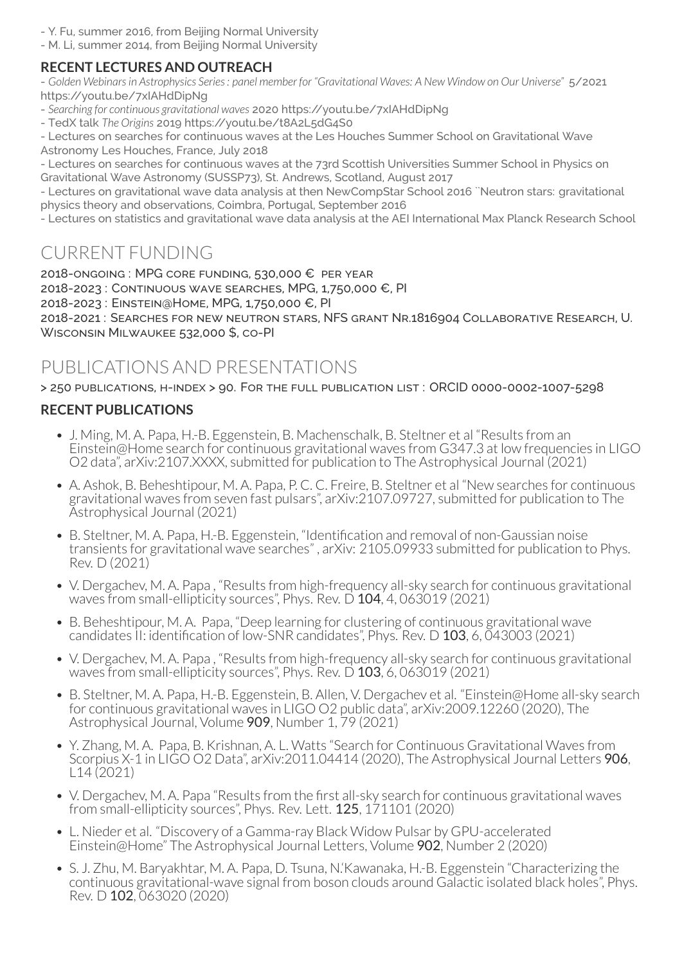- Y. Fu, summer 2016, from Beijing Normal University

- M. Li, summer 2014, from Beijing Normal University

## **RECENT LECTURES AND OUTREACH**

- *Golden Webinarsin Astrophysics Series: panel member for "Gravitational Waves: A New Window on Our Universe"* 5/2021 https://youtu.be/7xIAHdDipNg

- *Searching for continuous gravitational waves* 2020 https://youtu.be/7xIAHdDipNg
- TedX talk *The Origins* 2019 https://youtu.be/t8A2L5dG4S0

- Lectures on searches for continuous waves at the Les Houches Summer School on Gravitational Wave Astronomy Les Houches, France, July 2018

- Lectures on searches for continuous waves at the 73rd Scottish Universities Summer School in Physics on Gravitational Wave Astronomy (SUSSP73), St. Andrews, Scotland, August 2017

- Lectures on gravitational wave data analysis at then NewCompStar School 2016 ``Neutron stars: gravitational physics theory and observations, Coimbra, Portugal, September 2016

- Lectures on statistics and gravitational wave data analysis at the AEI International Max Planck Research School

# CURRENT FUNDING

2018-ongoing : MPG core funding, 530,000 € per year 2018-2023 : Continuous wave searches, MPG, 1,750,000 €, PI 2018-2023 : Einstein@Home, MPG, 1,750,000 €, PI 2018-2021 : Searches for new neutron stars, NFS grant Nr.1816904 Collaborative Research, U. Wisconsin Milwaukee 532,000 \$, co-PI

# PUBLICATIONS AND PRESENTATIONS

> 250 publications, h-index > 90. For the full publication list : ORCID 0000-0002-1007-5298

## **RECENT PUBLICATIONS**

- J. Ming, M. A. Papa, H.-B. Eggenstein, B. Machenschalk, B. Steltner et al "Results from an Einstein@Home search for continuous gravitational waves from G347.3 at low frequencies in LIGO O2 data", arXiv:2107.XXXX, submitted for publication to The Astrophysical Journal (2021)
- A. Ashok, B. Beheshtipour, M. A. Papa, P. C. C. Freire, B. Steltner et al "New searches for continuous gravitational waves from seven fast pulsars", arXiv:2107.09727, submitted for publication to The Astrophysical Journal (2021)
- B. Steltner, M. A. Papa, H.-B. Eggenstein, "Identification and removal of non-Gaussian noise transients for gravitational wave searches" , arXiv: 2105.09933 submitted for publication to Phys. Rev. D (2021)
- V. Dergachev, M. A. Papa , "Results from high-frequency all-sky search for continuous gravitational waves from small-ellipticity sources", Phys. Rev. D 104, 4, 063019 (2021)
- B. Beheshtipour, M. A. Papa, "Deep learning for clustering of continuous gravitational wave candidates II: identification of low-SNR candidates", Phys. Rev. D 103, 6, 043003 (2021)
- V. Dergachev, M. A. Papa , "Results from high-frequency all-sky search for continuous gravitational waves from small-ellipticity sources", Phys. Rev. D 103, 6, 063019 (2021)
- B. Steltner, M. A. Papa, H.-B. Eggenstein, B. Allen, V. Dergachev et al. "Einstein@Home all-sky search for continuous gravitational waves in LIGO O2 public data", arXiv:2009.12260 (2020), The Astrophysical Journal, Volume 909, Number 1, 79 (2021)
- Y. Zhang, M. A. Papa, B. Krishnan, A. L. Watts "Search for Continuous Gravitational Waves from Scorpius X-1 in LIGO O2 Data", arXiv: 2011.04414 (2020), The Astrophysical Journal Letters 906, L14 (2021)
- V. Dergachev, M. A. Papa "Results from the first all-sky search for continuous gravitational waves from small-ellipticity sources", Phys. Rev. Lett. 125, 171101 (2020)
- L. Nieder et al. "Discovery of a Gamma-ray Black Widow Pulsar by GPU-accelerated Einstein@Home" The Astrophysical Journal Letters, Volume 902, Number 2 (2020)
- S. J. Zhu, M. Baryakhtar, M. A. Papa, D. Tsuna, N.'Kawanaka, H.-B. Eggenstein "Characterizing the continuous gravitational-wave signal from boson clouds around Galactic isolated black holes", Phys. Rev. D 102, 063020 (2020)